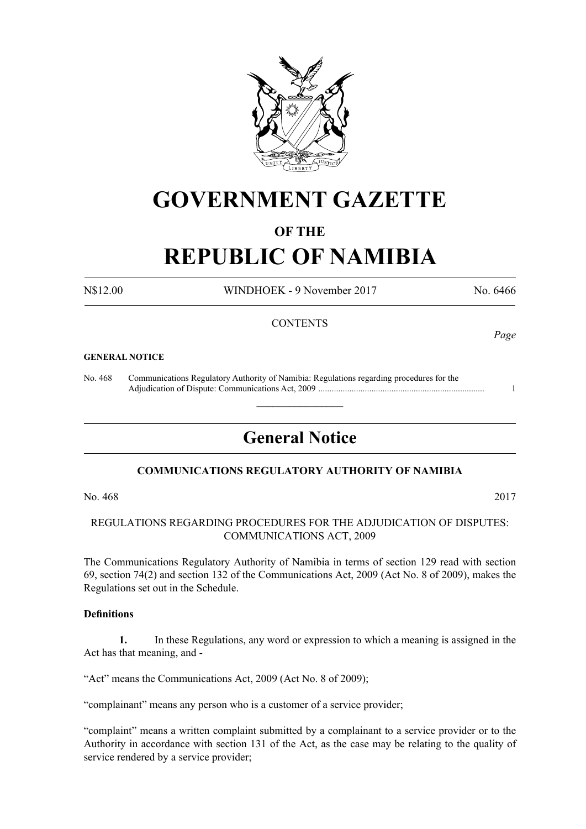

# **GOVERNMENT GAZETTE**

# **OF THE**

# **REPUBLIC OF NAMIBIA**

N\$12.00 WINDHOEK - 9 November 2017 No. 6466

## **CONTENTS**

#### **GENERAL NOTICE**

No. 468 Communications Regulatory Authority of Namibia: Regulations regarding procedures for the Adjudication of Dispute: Communications Act, 2009 ........................................................................... 1

# **General Notice**

 $\overline{\phantom{a}}$  , where  $\overline{\phantom{a}}$ 

## **COMMUNICATIONS REGULATORY AUTHORITY OF NAMIBIA**

No. 468 2017

## REGULATIONS REGARDING PROCEDURES FOR THE ADJUDICATION OF DISPUTES: COMMUNICATIONS ACT, 2009

The Communications Regulatory Authority of Namibia in terms of section 129 read with section 69, section 74(2) and section 132 of the Communications Act, 2009 (Act No. 8 of 2009), makes the Regulations set out in the Schedule.

#### **Definitions**

**1.** In these Regulations, any word or expression to which a meaning is assigned in the Act has that meaning, and -

"Act" means the Communications Act, 2009 (Act No. 8 of 2009);

"complainant" means any person who is a customer of a service provider;

"complaint" means a written complaint submitted by a complainant to a service provider or to the Authority in accordance with section 131 of the Act, as the case may be relating to the quality of service rendered by a service provider;

*Page*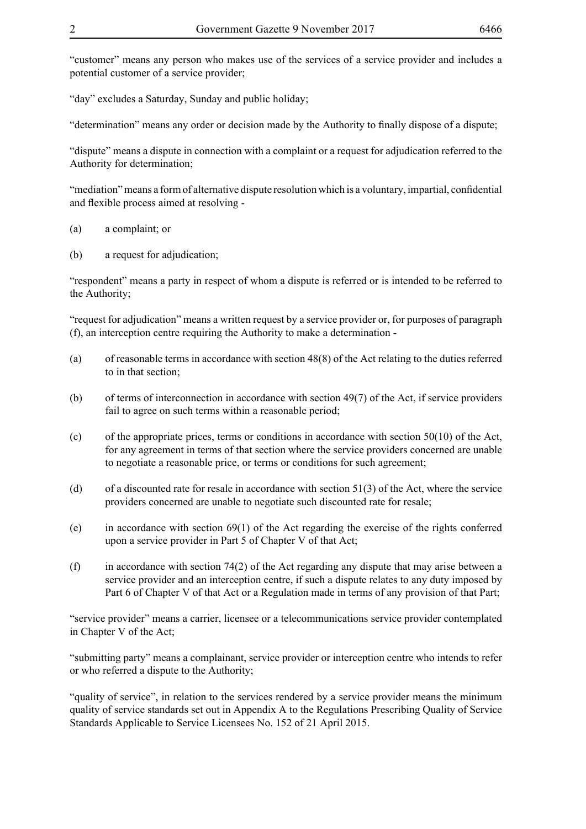"customer" means any person who makes use of the services of a service provider and includes a potential customer of a service provider;

"day" excludes a Saturday, Sunday and public holiday;

"determination" means any order or decision made by the Authority to finally dispose of a dispute;

"dispute" means a dispute in connection with a complaint or a request for adjudication referred to the Authority for determination;

"mediation" means a form of alternative dispute resolution which is a voluntary, impartial, confidential and flexible process aimed at resolving -

- (a) a complaint; or
- (b) a request for adjudication;

"respondent" means a party in respect of whom a dispute is referred or is intended to be referred to the Authority;

"request for adjudication" means a written request by a service provider or, for purposes of paragraph (f), an interception centre requiring the Authority to make a determination -

- (a) of reasonable terms in accordance with section 48(8) of the Act relating to the duties referred to in that section;
- (b) of terms of interconnection in accordance with section 49(7) of the Act, if service providers fail to agree on such terms within a reasonable period;
- (c) of the appropriate prices, terms or conditions in accordance with section  $50(10)$  of the Act, for any agreement in terms of that section where the service providers concerned are unable to negotiate a reasonable price, or terms or conditions for such agreement;
- (d) of a discounted rate for resale in accordance with section 51(3) of the Act, where the service providers concerned are unable to negotiate such discounted rate for resale;
- (e) in accordance with section 69(1) of the Act regarding the exercise of the rights conferred upon a service provider in Part 5 of Chapter V of that Act;
- (f) in accordance with section 74(2) of the Act regarding any dispute that may arise between a service provider and an interception centre, if such a dispute relates to any duty imposed by Part 6 of Chapter V of that Act or a Regulation made in terms of any provision of that Part;

"service provider" means a carrier, licensee or a telecommunications service provider contemplated in Chapter V of the Act;

"submitting party" means a complainant, service provider or interception centre who intends to refer or who referred a dispute to the Authority;

"quality of service", in relation to the services rendered by a service provider means the minimum quality of service standards set out in Appendix A to the Regulations Prescribing Quality of Service Standards Applicable to Service Licensees No. 152 of 21 April 2015.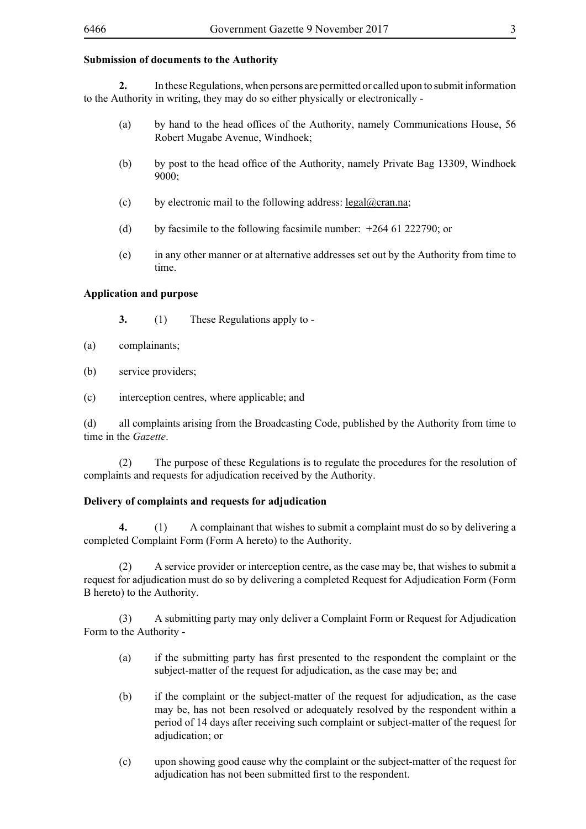## **Submission of documents to the Authority**

**2.** In these Regulations, when persons are permitted or called upon to submit information to the Authority in writing, they may do so either physically or electronically -

- (a) by hand to the head offices of the Authority, namely Communications House, 56 Robert Mugabe Avenue, Windhoek;
- (b) by post to the head office of the Authority, namely Private Bag 13309, Windhoek 9000;
- (c) by electronic mail to the following address: legal@cran.na;
- (d) by facsimile to the following facsimile number:  $+264$  61 222790; or
- (e) in any other manner or at alternative addresses set out by the Authority from time to time.

#### **Application and purpose**

- **3.** (1) These Regulations apply to -
- (a) complainants;
- (b) service providers;
- (c) interception centres, where applicable; and

(d) all complaints arising from the Broadcasting Code, published by the Authority from time to time in the *Gazette*.

(2) The purpose of these Regulations is to regulate the procedures for the resolution of complaints and requests for adjudication received by the Authority.

## **Delivery of complaints and requests for adjudication**

**4.** (1) A complainant that wishes to submit a complaint must do so by delivering a completed Complaint Form (Form A hereto) to the Authority.

(2) A service provider or interception centre, as the case may be, that wishes to submit a request for adjudication must do so by delivering a completed Request for Adjudication Form (Form B hereto) to the Authority.

(3) A submitting party may only deliver a Complaint Form or Request for Adjudication Form to the Authority -

- (a) if the submitting party has first presented to the respondent the complaint or the subject-matter of the request for adjudication, as the case may be; and
- (b) if the complaint or the subject-matter of the request for adjudication, as the case may be, has not been resolved or adequately resolved by the respondent within a period of 14 days after receiving such complaint or subject-matter of the request for adjudication; or
- (c) upon showing good cause why the complaint or the subject-matter of the request for adjudication has not been submitted first to the respondent.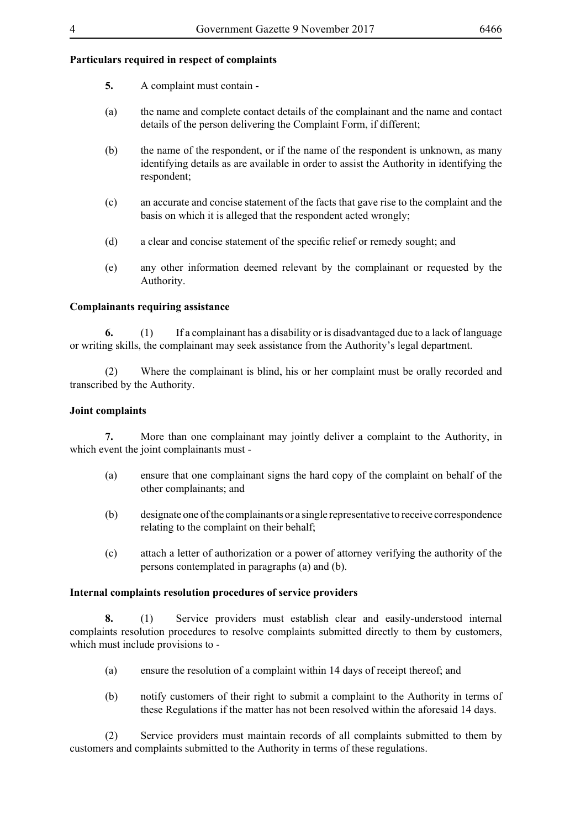## **Particulars required in respect of complaints**

- **5.** A complaint must contain -
- (a) the name and complete contact details of the complainant and the name and contact details of the person delivering the Complaint Form, if different;
- (b) the name of the respondent, or if the name of the respondent is unknown, as many identifying details as are available in order to assist the Authority in identifying the respondent;
- (c) an accurate and concise statement of the facts that gave rise to the complaint and the basis on which it is alleged that the respondent acted wrongly;
- (d) a clear and concise statement of the specific relief or remedy sought; and
- (e) any other information deemed relevant by the complainant or requested by the Authority.

## **Complainants requiring assistance**

**6.** (1) If a complainant has a disability or is disadvantaged due to a lack of language or writing skills, the complainant may seek assistance from the Authority's legal department.

(2) Where the complainant is blind, his or her complaint must be orally recorded and transcribed by the Authority.

#### **Joint complaints**

**7.** More than one complainant may jointly deliver a complaint to the Authority, in which event the joint complainants must -

- (a) ensure that one complainant signs the hard copy of the complaint on behalf of the other complainants; and
- (b) designate one of the complainants or a single representative to receive correspondence relating to the complaint on their behalf;
- (c) attach a letter of authorization or a power of attorney verifying the authority of the persons contemplated in paragraphs (a) and (b).

#### **Internal complaints resolution procedures of service providers**

**8.** (1) Service providers must establish clear and easily-understood internal complaints resolution procedures to resolve complaints submitted directly to them by customers, which must include provisions to -

- (a) ensure the resolution of a complaint within 14 days of receipt thereof; and
- (b) notify customers of their right to submit a complaint to the Authority in terms of these Regulations if the matter has not been resolved within the aforesaid 14 days.

(2) Service providers must maintain records of all complaints submitted to them by customers and complaints submitted to the Authority in terms of these regulations.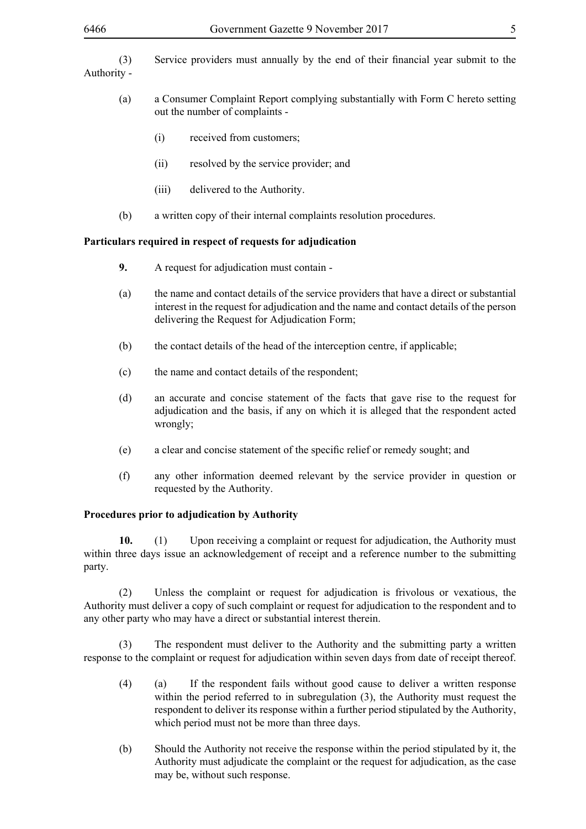- (a) a Consumer Complaint Report complying substantially with Form C hereto setting out the number of complaints -
	- (i) received from customers;
	- (ii) resolved by the service provider; and
	- (iii) delivered to the Authority.
- (b) a written copy of their internal complaints resolution procedures.

## **Particulars required in respect of requests for adjudication**

- **9.** A request for adjudication must contain -
- (a) the name and contact details of the service providers that have a direct or substantial interest in the request for adjudication and the name and contact details of the person delivering the Request for Adjudication Form;
- (b) the contact details of the head of the interception centre, if applicable;
- (c) the name and contact details of the respondent;
- (d) an accurate and concise statement of the facts that gave rise to the request for adjudication and the basis, if any on which it is alleged that the respondent acted wrongly;
- (e) a clear and concise statement of the specific relief or remedy sought; and
- (f) any other information deemed relevant by the service provider in question or requested by the Authority.

## **Procedures prior to adjudication by Authority**

**10.** (1) Upon receiving a complaint or request for adjudication, the Authority must within three days issue an acknowledgement of receipt and a reference number to the submitting party.

(2) Unless the complaint or request for adjudication is frivolous or vexatious, the Authority must deliver a copy of such complaint or request for adjudication to the respondent and to any other party who may have a direct or substantial interest therein.

(3) The respondent must deliver to the Authority and the submitting party a written response to the complaint or request for adjudication within seven days from date of receipt thereof.

- (4) (a) If the respondent fails without good cause to deliver a written response within the period referred to in subregulation (3), the Authority must request the respondent to deliver its response within a further period stipulated by the Authority, which period must not be more than three days.
- (b) Should the Authority not receive the response within the period stipulated by it, the Authority must adjudicate the complaint or the request for adjudication, as the case may be, without such response.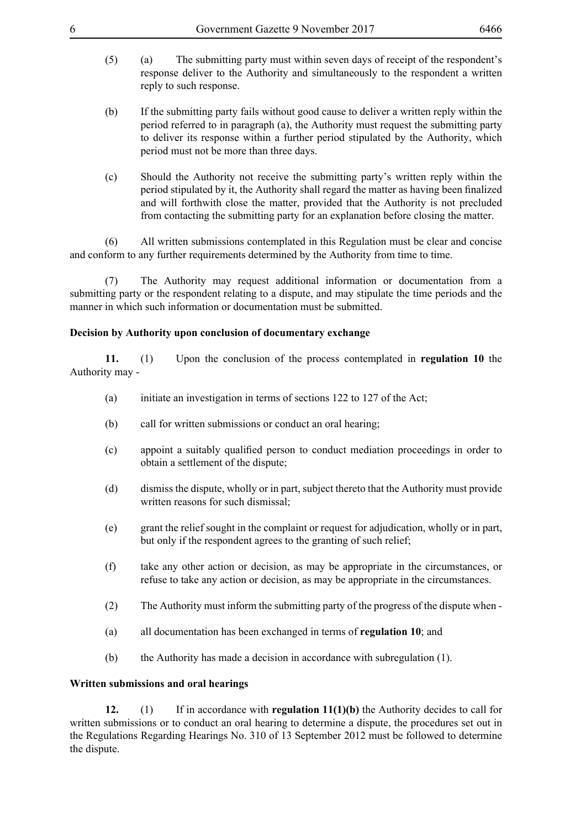- (5) (a) The submitting party must within seven days of receipt of the respondent's response deliver to the Authority and simultaneously to the respondent a written reply to such response.
- (b) If the submitting party fails without good cause to deliver a written reply within the period referred to in paragraph (a), the Authority must request the submitting party to deliver its response within a further period stipulated by the Authority, which period must not be more than three days.
- (c) Should the Authority not receive the submitting party's written reply within the period stipulated by it, the Authority shall regard the matter as having been finalized and will forthwith close the matter, provided that the Authority is not precluded from contacting the submitting party for an explanation before closing the matter.

(6) All written submissions contemplated in this Regulation must be clear and concise and conform to any further requirements determined by the Authority from time to time.

(7) The Authority may request additional information or documentation from a submitting party or the respondent relating to a dispute, and may stipulate the time periods and the manner in which such information or documentation must be submitted.

#### **Decision by Authority upon conclusion of documentary exchange**

**11.** (1) Upon the conclusion of the process contemplated in **regulation 10** the Authority may -

- (a) initiate an investigation in terms of sections 122 to 127 of the Act;
- (b) call for written submissions or conduct an oral hearing;
- (c) appoint a suitably qualified person to conduct mediation proceedings in order to obtain a settlement of the dispute;
- (d) dismiss the dispute, wholly or in part, subject thereto that the Authority must provide written reasons for such dismissal;
- (e) grant the relief sought in the complaint or request for adjudication, wholly or in part, but only if the respondent agrees to the granting of such relief;
- (f) take any other action or decision, as may be appropriate in the circumstances, or refuse to take any action or decision, as may be appropriate in the circumstances.
- (2) The Authority must inform the submitting party of the progress of the dispute when -
- (a) all documentation has been exchanged in terms of **regulation 10**; and
- (b) the Authority has made a decision in accordance with subregulation (1).

## **Written submissions and oral hearings**

**12.** (1) If in accordance with **regulation 11(1)(b)** the Authority decides to call for written submissions or to conduct an oral hearing to determine a dispute, the procedures set out in the Regulations Regarding Hearings No. 310 of 13 September 2012 must be followed to determine the dispute.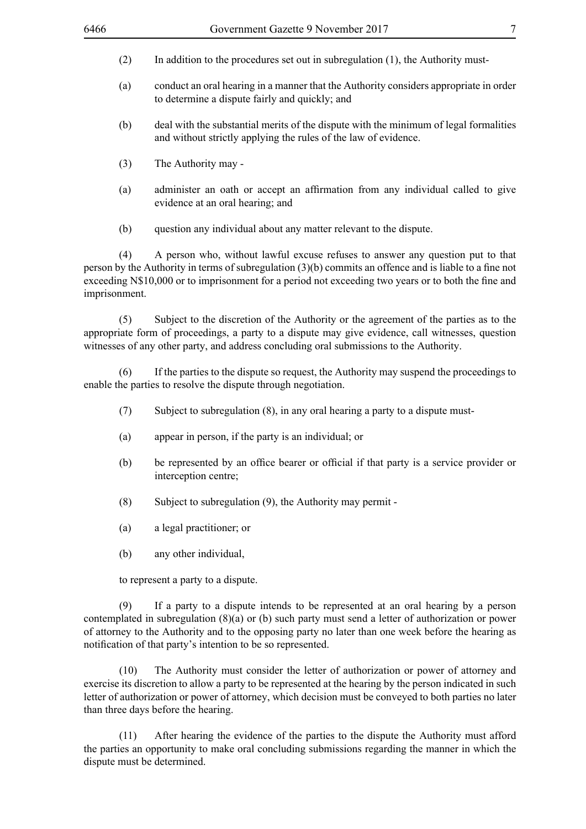- (2) In addition to the procedures set out in subregulation (1), the Authority must-
- (a) conduct an oral hearing in a manner that the Authority considers appropriate in order to determine a dispute fairly and quickly; and
- (b) deal with the substantial merits of the dispute with the minimum of legal formalities and without strictly applying the rules of the law of evidence.
- (3) The Authority may -
- (a) administer an oath or accept an affirmation from any individual called to give evidence at an oral hearing; and
- (b) question any individual about any matter relevant to the dispute.

(4) A person who, without lawful excuse refuses to answer any question put to that person by the Authority in terms of subregulation (3)(b) commits an offence and is liable to a fine not exceeding N\$10,000 or to imprisonment for a period not exceeding two years or to both the fine and imprisonment.

(5) Subject to the discretion of the Authority or the agreement of the parties as to the appropriate form of proceedings, a party to a dispute may give evidence, call witnesses, question witnesses of any other party, and address concluding oral submissions to the Authority.

(6) If the parties to the dispute so request, the Authority may suspend the proceedings to enable the parties to resolve the dispute through negotiation.

- (7) Subject to subregulation (8), in any oral hearing a party to a dispute must-
- (a) appear in person, if the party is an individual; or
- (b) be represented by an office bearer or official if that party is a service provider or interception centre;
- (8) Subject to subregulation (9), the Authority may permit -
- (a) a legal practitioner; or
- (b) any other individual,

to represent a party to a dispute.

(9) If a party to a dispute intends to be represented at an oral hearing by a person contemplated in subregulation (8)(a) or (b) such party must send a letter of authorization or power of attorney to the Authority and to the opposing party no later than one week before the hearing as notification of that party's intention to be so represented.

(10) The Authority must consider the letter of authorization or power of attorney and exercise its discretion to allow a party to be represented at the hearing by the person indicated in such letter of authorization or power of attorney, which decision must be conveyed to both parties no later than three days before the hearing.

(11) After hearing the evidence of the parties to the dispute the Authority must afford the parties an opportunity to make oral concluding submissions regarding the manner in which the dispute must be determined.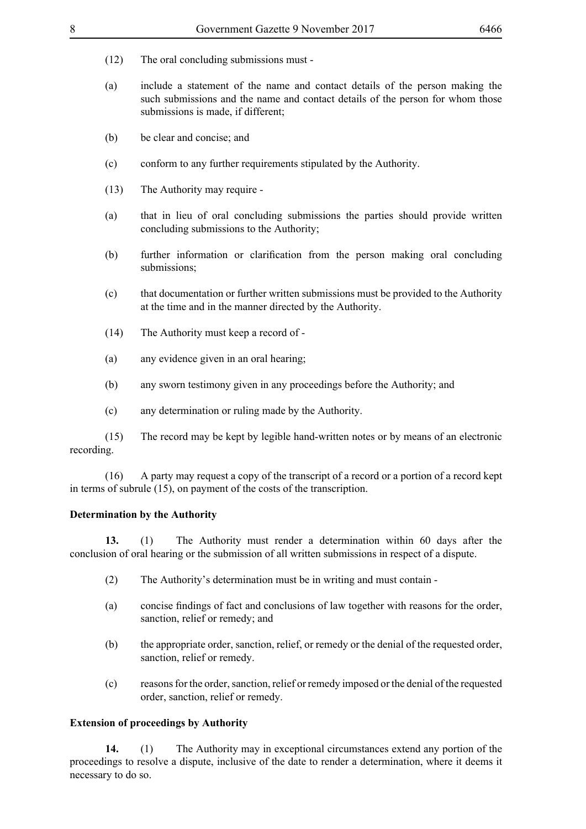- (12) The oral concluding submissions must -
- (a) include a statement of the name and contact details of the person making the such submissions and the name and contact details of the person for whom those submissions is made, if different;
- (b) be clear and concise; and
- (c) conform to any further requirements stipulated by the Authority.
- (13) The Authority may require -
- (a) that in lieu of oral concluding submissions the parties should provide written concluding submissions to the Authority;
- (b) further information or clarification from the person making oral concluding submissions;
- (c) that documentation or further written submissions must be provided to the Authority at the time and in the manner directed by the Authority.
- (14) The Authority must keep a record of -
- (a) any evidence given in an oral hearing;
- (b) any sworn testimony given in any proceedings before the Authority; and
- (c) any determination or ruling made by the Authority.

(15) The record may be kept by legible hand-written notes or by means of an electronic recording.

(16) A party may request a copy of the transcript of a record or a portion of a record kept in terms of subrule (15), on payment of the costs of the transcription.

#### **Determination by the Authority**

**13.** (1) The Authority must render a determination within 60 days after the conclusion of oral hearing or the submission of all written submissions in respect of a dispute.

- (2) The Authority's determination must be in writing and must contain -
- (a) concise findings of fact and conclusions of law together with reasons for the order, sanction, relief or remedy; and
- (b) the appropriate order, sanction, relief, or remedy or the denial of the requested order, sanction, relief or remedy.
- (c) reasons for the order, sanction, relief or remedy imposed or the denial of the requested order, sanction, relief or remedy.

#### **Extension of proceedings by Authority**

**14.** (1) The Authority may in exceptional circumstances extend any portion of the proceedings to resolve a dispute, inclusive of the date to render a determination, where it deems it necessary to do so.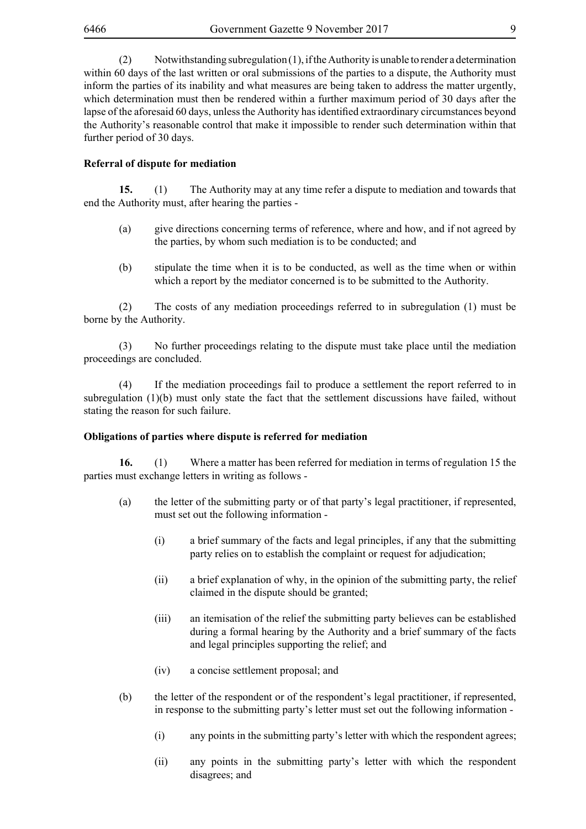(2) Notwithstanding subregulation (1), if the Authority is unable to render a determination within 60 days of the last written or oral submissions of the parties to a dispute, the Authority must inform the parties of its inability and what measures are being taken to address the matter urgently, which determination must then be rendered within a further maximum period of 30 days after the lapse of the aforesaid 60 days, unless the Authority has identified extraordinary circumstances beyond the Authority's reasonable control that make it impossible to render such determination within that further period of 30 days.

## **Referral of dispute for mediation**

**15.** (1) The Authority may at any time refer a dispute to mediation and towards that end the Authority must, after hearing the parties -

- (a) give directions concerning terms of reference, where and how, and if not agreed by the parties, by whom such mediation is to be conducted; and
- (b) stipulate the time when it is to be conducted, as well as the time when or within which a report by the mediator concerned is to be submitted to the Authority.

(2) The costs of any mediation proceedings referred to in subregulation (1) must be borne by the Authority.

(3) No further proceedings relating to the dispute must take place until the mediation proceedings are concluded.

(4) If the mediation proceedings fail to produce a settlement the report referred to in subregulation (1)(b) must only state the fact that the settlement discussions have failed, without stating the reason for such failure.

#### **Obligations of parties where dispute is referred for mediation**

**16.** (1) Where a matter has been referred for mediation in terms of regulation 15 the parties must exchange letters in writing as follows -

- (a) the letter of the submitting party or of that party's legal practitioner, if represented, must set out the following information -
	- (i) a brief summary of the facts and legal principles, if any that the submitting party relies on to establish the complaint or request for adjudication;
	- (ii) a brief explanation of why, in the opinion of the submitting party, the relief claimed in the dispute should be granted;
	- (iii) an itemisation of the relief the submitting party believes can be established during a formal hearing by the Authority and a brief summary of the facts and legal principles supporting the relief; and
	- (iv) a concise settlement proposal; and
- (b) the letter of the respondent or of the respondent's legal practitioner, if represented, in response to the submitting party's letter must set out the following information -
	- (i) any points in the submitting party's letter with which the respondent agrees;
	- (ii) any points in the submitting party's letter with which the respondent disagrees; and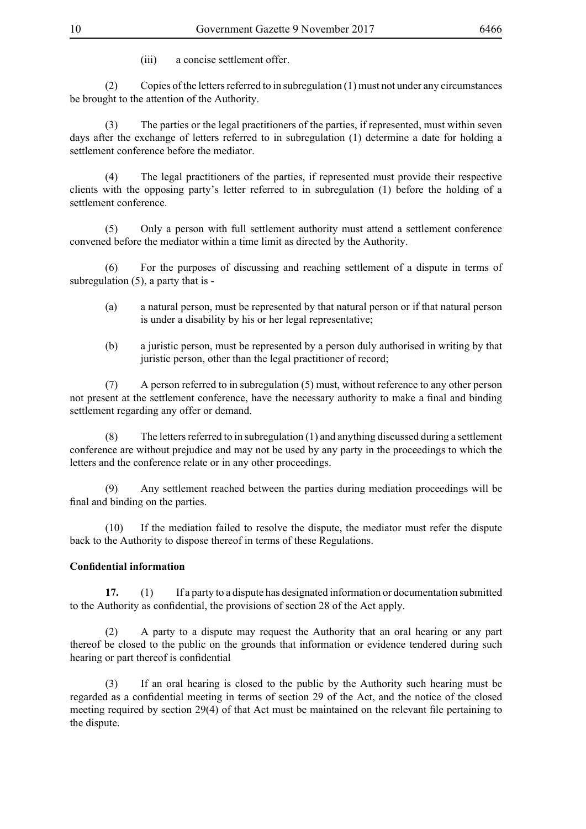(iii) a concise settlement offer.

(2) Copies of the letters referred to in subregulation (1) must not under any circumstances be brought to the attention of the Authority.

(3) The parties or the legal practitioners of the parties, if represented, must within seven days after the exchange of letters referred to in subregulation (1) determine a date for holding a settlement conference before the mediator.

(4) The legal practitioners of the parties, if represented must provide their respective clients with the opposing party's letter referred to in subregulation (1) before the holding of a settlement conference.

(5) Only a person with full settlement authority must attend a settlement conference convened before the mediator within a time limit as directed by the Authority.

(6) For the purposes of discussing and reaching settlement of a dispute in terms of subregulation  $(5)$ , a party that is -

- (a) a natural person, must be represented by that natural person or if that natural person is under a disability by his or her legal representative;
- (b) a juristic person, must be represented by a person duly authorised in writing by that juristic person, other than the legal practitioner of record;

(7) A person referred to in subregulation (5) must, without reference to any other person not present at the settlement conference, have the necessary authority to make a final and binding settlement regarding any offer or demand.

(8) The letters referred to in subregulation (1) and anything discussed during a settlement conference are without prejudice and may not be used by any party in the proceedings to which the letters and the conference relate or in any other proceedings.

(9) Any settlement reached between the parties during mediation proceedings will be final and binding on the parties.

(10) If the mediation failed to resolve the dispute, the mediator must refer the dispute back to the Authority to dispose thereof in terms of these Regulations.

## **Confidential information**

**17.** (1) If a party to a dispute has designated information or documentation submitted to the Authority as confidential, the provisions of section 28 of the Act apply.

(2) A party to a dispute may request the Authority that an oral hearing or any part thereof be closed to the public on the grounds that information or evidence tendered during such hearing or part thereof is confidential

(3) If an oral hearing is closed to the public by the Authority such hearing must be regarded as a confidential meeting in terms of section 29 of the Act, and the notice of the closed meeting required by section 29(4) of that Act must be maintained on the relevant file pertaining to the dispute.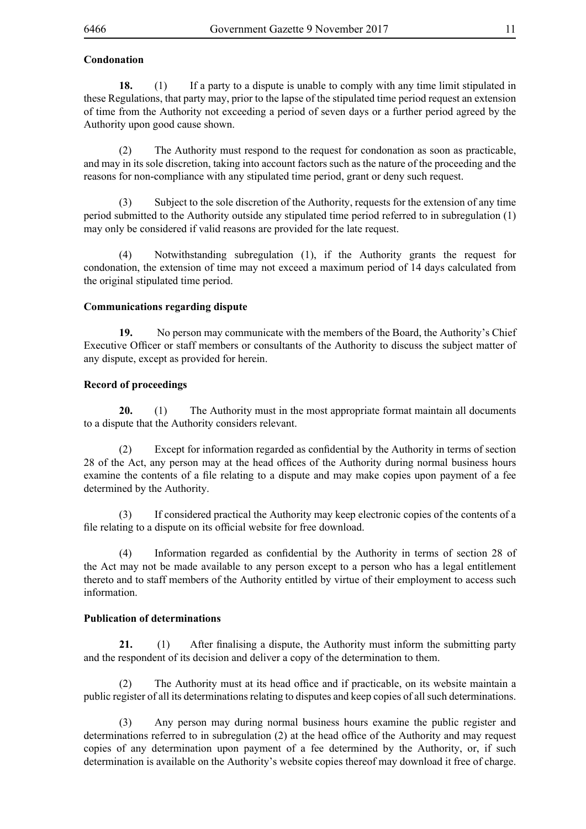## **Condonation**

**18.** (1) If a party to a dispute is unable to comply with any time limit stipulated in these Regulations, that party may, prior to the lapse of the stipulated time period request an extension of time from the Authority not exceeding a period of seven days or a further period agreed by the Authority upon good cause shown.

(2) The Authority must respond to the request for condonation as soon as practicable, and may in its sole discretion, taking into account factors such as the nature of the proceeding and the reasons for non-compliance with any stipulated time period, grant or deny such request.

(3) Subject to the sole discretion of the Authority, requests for the extension of any time period submitted to the Authority outside any stipulated time period referred to in subregulation (1) may only be considered if valid reasons are provided for the late request.

(4) Notwithstanding subregulation (1), if the Authority grants the request for condonation, the extension of time may not exceed a maximum period of 14 days calculated from the original stipulated time period.

#### **Communications regarding dispute**

**19.** No person may communicate with the members of the Board, the Authority's Chief Executive Officer or staff members or consultants of the Authority to discuss the subject matter of any dispute, except as provided for herein.

## **Record of proceedings**

**20.** (1) The Authority must in the most appropriate format maintain all documents to a dispute that the Authority considers relevant.

(2) Except for information regarded as confidential by the Authority in terms of section 28 of the Act, any person may at the head offices of the Authority during normal business hours examine the contents of a file relating to a dispute and may make copies upon payment of a fee determined by the Authority.

(3) If considered practical the Authority may keep electronic copies of the contents of a file relating to a dispute on its official website for free download.

(4) Information regarded as confidential by the Authority in terms of section 28 of the Act may not be made available to any person except to a person who has a legal entitlement thereto and to staff members of the Authority entitled by virtue of their employment to access such information.

## **Publication of determinations**

**21.** (1) After finalising a dispute, the Authority must inform the submitting party and the respondent of its decision and deliver a copy of the determination to them.

(2) The Authority must at its head office and if practicable, on its website maintain a public register of all its determinations relating to disputes and keep copies of all such determinations.

(3) Any person may during normal business hours examine the public register and determinations referred to in subregulation (2) at the head office of the Authority and may request copies of any determination upon payment of a fee determined by the Authority, or, if such determination is available on the Authority's website copies thereof may download it free of charge.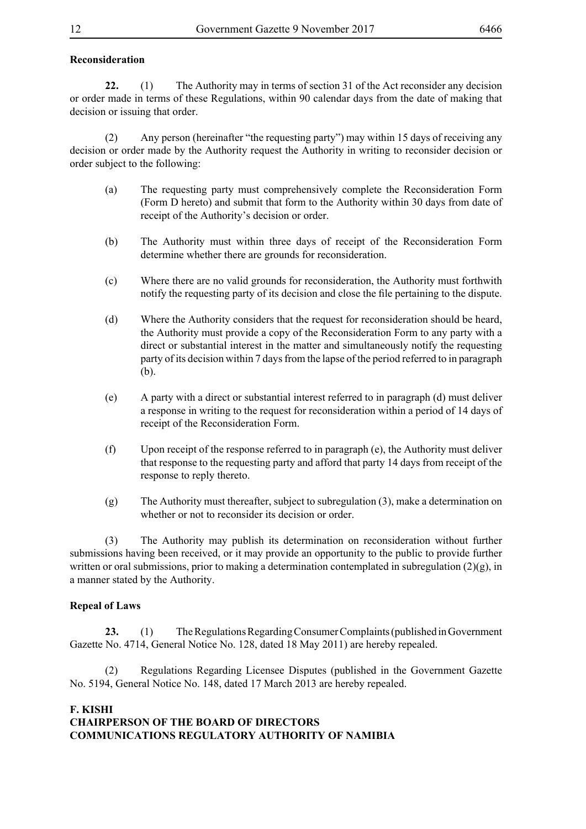## **Reconsideration**

**22.** (1) The Authority may in terms of section 31 of the Act reconsider any decision or order made in terms of these Regulations, within 90 calendar days from the date of making that decision or issuing that order.

(2) Any person (hereinafter "the requesting party") may within 15 days of receiving any decision or order made by the Authority request the Authority in writing to reconsider decision or order subject to the following:

- (a) The requesting party must comprehensively complete the Reconsideration Form (Form D hereto) and submit that form to the Authority within 30 days from date of receipt of the Authority's decision or order.
- (b) The Authority must within three days of receipt of the Reconsideration Form determine whether there are grounds for reconsideration.
- (c) Where there are no valid grounds for reconsideration, the Authority must forthwith notify the requesting party of its decision and close the file pertaining to the dispute.
- (d) Where the Authority considers that the request for reconsideration should be heard, the Authority must provide a copy of the Reconsideration Form to any party with a direct or substantial interest in the matter and simultaneously notify the requesting party of its decision within 7 days from the lapse of the period referred to in paragraph (b).
- (e) A party with a direct or substantial interest referred to in paragraph (d) must deliver a response in writing to the request for reconsideration within a period of 14 days of receipt of the Reconsideration Form.
- (f) Upon receipt of the response referred to in paragraph (e), the Authority must deliver that response to the requesting party and afford that party 14 days from receipt of the response to reply thereto.
- (g) The Authority must thereafter, subject to subregulation (3), make a determination on whether or not to reconsider its decision or order.

(3) The Authority may publish its determination on reconsideration without further submissions having been received, or it may provide an opportunity to the public to provide further written or oral submissions, prior to making a determination contemplated in subregulation  $(2)(g)$ , in a manner stated by the Authority.

## **Repeal of Laws**

**23.** (1) The Regulations Regarding Consumer Complaints (published in Government Gazette No. 4714, General Notice No. 128, dated 18 May 2011) are hereby repealed.

(2) Regulations Regarding Licensee Disputes (published in the Government Gazette No. 5194, General Notice No. 148, dated 17 March 2013 are hereby repealed.

## **F. KISHI CHAIRPERSON OF THE BOARD OF DIRECTORS COMMUNICATIONS REGULATORY AUTHORITY OF NAMIBIA**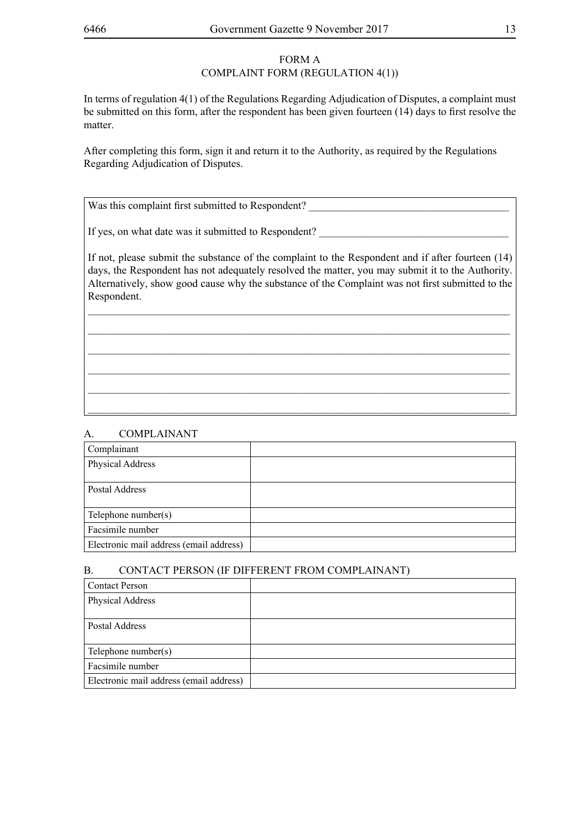# FORM A

## COMPLAINT FORM (REGULATION 4(1))

In terms of regulation 4(1) of the Regulations Regarding Adjudication of Disputes, a complaint must be submitted on this form, after the respondent has been given fourteen (14) days to first resolve the matter.

After completing this form, sign it and return it to the Authority, as required by the Regulations Regarding Adjudication of Disputes.

Was this complaint first submitted to Respondent?

If yes, on what date was it submitted to Respondent?

If not, please submit the substance of the complaint to the Respondent and if after fourteen (14) days, the Respondent has not adequately resolved the matter, you may submit it to the Authority. Alternatively, show good cause why the substance of the Complaint was not first submitted to the Respondent.

\_\_\_\_\_\_\_\_\_\_\_\_\_\_\_\_\_\_\_\_\_\_\_\_\_\_\_\_\_\_\_\_\_\_\_\_\_\_\_\_\_\_\_\_\_\_\_\_\_\_\_\_\_\_\_\_\_\_\_\_\_\_\_\_\_\_\_\_\_\_\_\_\_\_\_\_\_\_ \_\_\_\_\_\_\_\_\_\_\_\_\_\_\_\_\_\_\_\_\_\_\_\_\_\_\_\_\_\_\_\_\_\_\_\_\_\_\_\_\_\_\_\_\_\_\_\_\_\_\_\_\_\_\_\_\_\_\_\_\_\_\_\_\_\_\_\_\_\_\_\_\_\_\_\_\_\_ \_\_\_\_\_\_\_\_\_\_\_\_\_\_\_\_\_\_\_\_\_\_\_\_\_\_\_\_\_\_\_\_\_\_\_\_\_\_\_\_\_\_\_\_\_\_\_\_\_\_\_\_\_\_\_\_\_\_\_\_\_\_\_\_\_\_\_\_\_\_\_\_\_\_\_\_\_\_ \_\_\_\_\_\_\_\_\_\_\_\_\_\_\_\_\_\_\_\_\_\_\_\_\_\_\_\_\_\_\_\_\_\_\_\_\_\_\_\_\_\_\_\_\_\_\_\_\_\_\_\_\_\_\_\_\_\_\_\_\_\_\_\_\_\_\_\_\_\_\_\_\_\_\_\_\_\_ \_\_\_\_\_\_\_\_\_\_\_\_\_\_\_\_\_\_\_\_\_\_\_\_\_\_\_\_\_\_\_\_\_\_\_\_\_\_\_\_\_\_\_\_\_\_\_\_\_\_\_\_\_\_\_\_\_\_\_\_\_\_\_\_\_\_\_\_\_\_\_\_\_\_\_\_\_\_

## A. COMPLAINANT

| Complainant                             |  |
|-----------------------------------------|--|
| <b>Physical Address</b>                 |  |
|                                         |  |
| Postal Address                          |  |
| Telephone number(s)                     |  |
| Facsimile number                        |  |
| Electronic mail address (email address) |  |

\_\_\_\_\_\_\_\_\_\_\_\_\_\_\_\_\_\_\_\_\_\_\_\_\_\_\_\_\_\_\_\_\_\_\_\_\_\_\_\_\_\_\_\_\_\_\_\_\_\_\_\_\_\_\_\_\_\_\_\_\_\_\_\_\_\_\_\_\_\_\_\_\_\_\_\_\_\_

## B. CONTACT PERSON (IF DIFFERENT FROM COMPLAINANT)

| <b>Contact Person</b>                   |  |
|-----------------------------------------|--|
| <b>Physical Address</b>                 |  |
|                                         |  |
| Postal Address                          |  |
|                                         |  |
| Telephone number(s)                     |  |
| Facsimile number                        |  |
| Electronic mail address (email address) |  |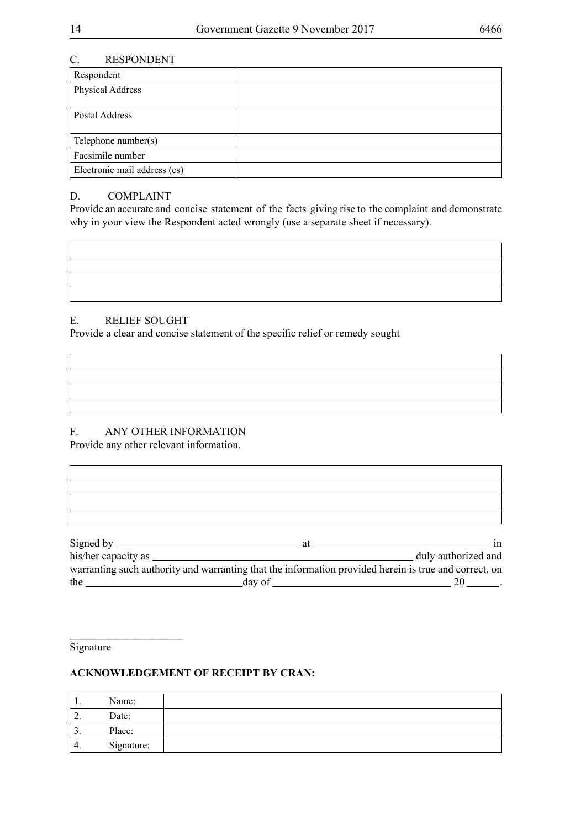٦

## C. RESPONDENT

| Respondent                   |  |
|------------------------------|--|
| Physical Address             |  |
|                              |  |
| Postal Address               |  |
|                              |  |
| Telephone number(s)          |  |
| Facsimile number             |  |
| Electronic mail address (es) |  |

## D. COMPLAINT

Provide an accurate and concise statement of the facts giving rise to the complaint and demonstrate why in your view the Respondent acted wrongly (use a separate sheet if necessary).

## E. RELIEF SOUGHT

Provide a clear and concise statement of the specific relief or remedy sought

## F. ANY OTHER INFORMATION

Provide any other relevant information.

|                                                                                                       | duly authorized and |
|-------------------------------------------------------------------------------------------------------|---------------------|
| warranting such authority and warranting that the information provided herein is true and correct, on |                     |
|                                                                                                       | $20$ ________.      |

# **Signature**

 $\Gamma$ 

 $\overline{\phantom{a}}$  , where  $\overline{\phantom{a}}$ 

| . .      | Name:      |  |
|----------|------------|--|
| <u>.</u> | Date:      |  |
| J.       | Place:     |  |
| 4.       | Signature: |  |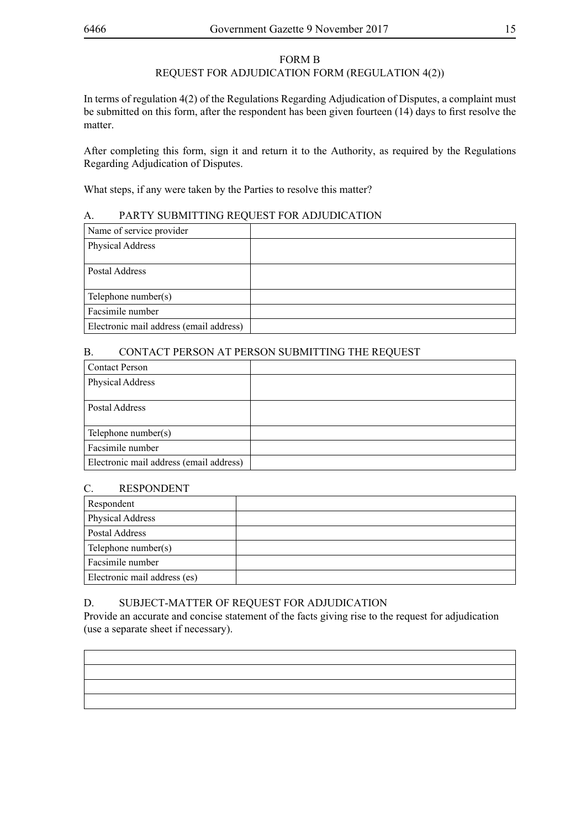#### FORM B

## REQUEST FOR ADJUDICATION FORM (REGULATION 4(2))

In terms of regulation 4(2) of the Regulations Regarding Adjudication of Disputes, a complaint must be submitted on this form, after the respondent has been given fourteen (14) days to first resolve the matter.

After completing this form, sign it and return it to the Authority, as required by the Regulations Regarding Adjudication of Disputes.

What steps, if any were taken by the Parties to resolve this matter?

#### A. PARTY SUBMITTING REQUEST FOR ADJUDICATION

| Name of service provider                |  |
|-----------------------------------------|--|
| <b>Physical Address</b>                 |  |
|                                         |  |
| Postal Address                          |  |
|                                         |  |
| Telephone number(s)                     |  |
| Facsimile number                        |  |
| Electronic mail address (email address) |  |

## B. CONTACT PERSON AT PERSON SUBMITTING THE REQUEST

| <b>Contact Person</b>                   |  |
|-----------------------------------------|--|
| Physical Address                        |  |
|                                         |  |
| Postal Address                          |  |
|                                         |  |
| Telephone number(s)                     |  |
| Facsimile number                        |  |
| Electronic mail address (email address) |  |

#### C. RESPONDENT

| Respondent                   |  |
|------------------------------|--|
| Physical Address             |  |
| Postal Address               |  |
| Telephone number(s)          |  |
| Facsimile number             |  |
| Electronic mail address (es) |  |

#### D. SUBJECT-MATTER OF REQUEST FOR ADJUDICATION

Provide an accurate and concise statement of the facts giving rise to the request for adjudication (use a separate sheet if necessary).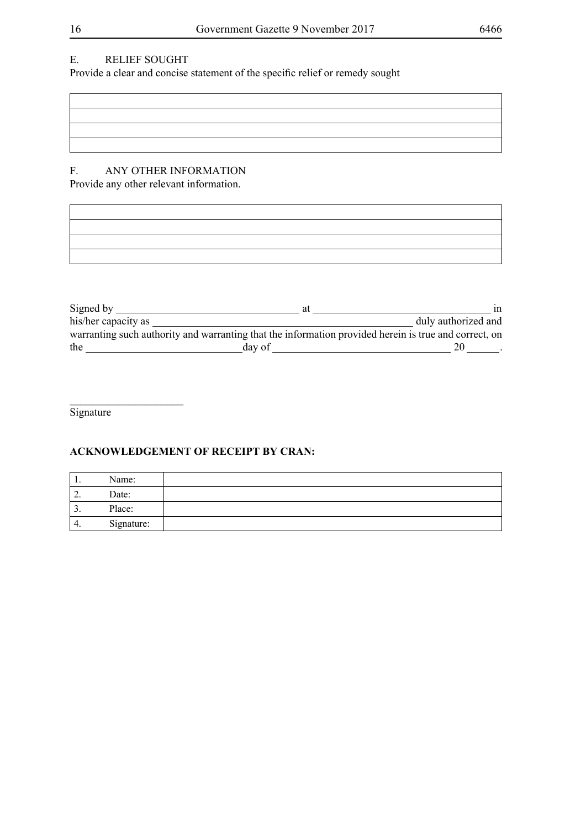# E. RELIEF SOUGHT

Provide a clear and concise statement of the specific relief or remedy sought

# F. ANY OTHER INFORMATION

Provide any other relevant information.

| Signed by $\overline{\phantom{a}}$ | at                                                                                                    | 1n                  |
|------------------------------------|-------------------------------------------------------------------------------------------------------|---------------------|
| his/her capacity as                |                                                                                                       | duly authorized and |
|                                    | warranting such authority and warranting that the information provided herein is true and correct, on |                     |
| the                                | day of                                                                                                |                     |

**Signature** 

 $\overline{\phantom{a}}$  , where  $\overline{\phantom{a}}$ 

| . .      | Name:      |  |
|----------|------------|--|
| <u>.</u> | Date:      |  |
| <u>.</u> | Place:     |  |
| ᠇.       | Signature: |  |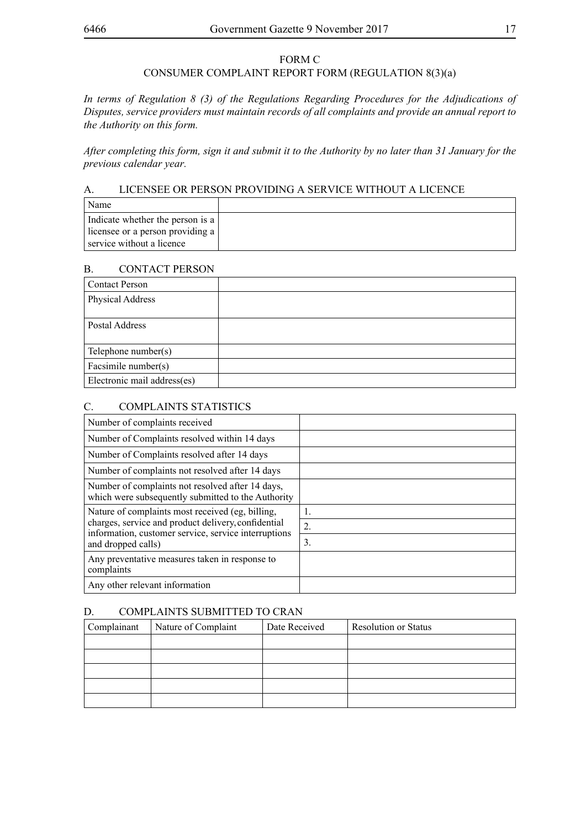## FORM C

## CONSUMER COMPLAINT REPORT FORM (REGULATION 8(3)(a)

*In terms of Regulation 8 (3) of the Regulations Regarding Procedures for the Adjudications of Disputes, service providers must maintain records of all complaints and provide an annual report to the Authority on this form.*

*After completing this form, sign it and submit it to the Authority by no later than 31 January for the previous calendar year.*

## A. LICENSEE OR PERSON PROVIDING A SERVICE WITHOUT A LICENCE

| Name                             |  |
|----------------------------------|--|
| Indicate whether the person is a |  |
| licensee or a person providing a |  |
| service without a licence        |  |

## B. CONTACT PERSON

| <b>Contact Person</b>       |  |
|-----------------------------|--|
| Physical Address            |  |
|                             |  |
| Postal Address              |  |
|                             |  |
| Telephone number(s)         |  |
| Facsimile number(s)         |  |
| Electronic mail address(es) |  |

## C. COMPLAINTS STATISTICS

| Number of complaints received                                                                                                     |    |
|-----------------------------------------------------------------------------------------------------------------------------------|----|
| Number of Complaints resolved within 14 days                                                                                      |    |
| Number of Complaints resolved after 14 days                                                                                       |    |
| Number of complaints not resolved after 14 days                                                                                   |    |
| Number of complaints not resolved after 14 days,<br>which were subsequently submitted to the Authority                            |    |
| Nature of complaints most received (eg, billing,                                                                                  | 1. |
| charges, service and product delivery, confidential<br>information, customer service, service interruptions<br>and dropped calls) | 2. |
|                                                                                                                                   | 3. |
| Any preventative measures taken in response to<br>complaints                                                                      |    |
| Any other relevant information                                                                                                    |    |

## D. COMPLAINTS SUBMITTED TO CRAN

| Complainant | Nature of Complaint | Date Received | <b>Resolution or Status</b> |
|-------------|---------------------|---------------|-----------------------------|
|             |                     |               |                             |
|             |                     |               |                             |
|             |                     |               |                             |
|             |                     |               |                             |
|             |                     |               |                             |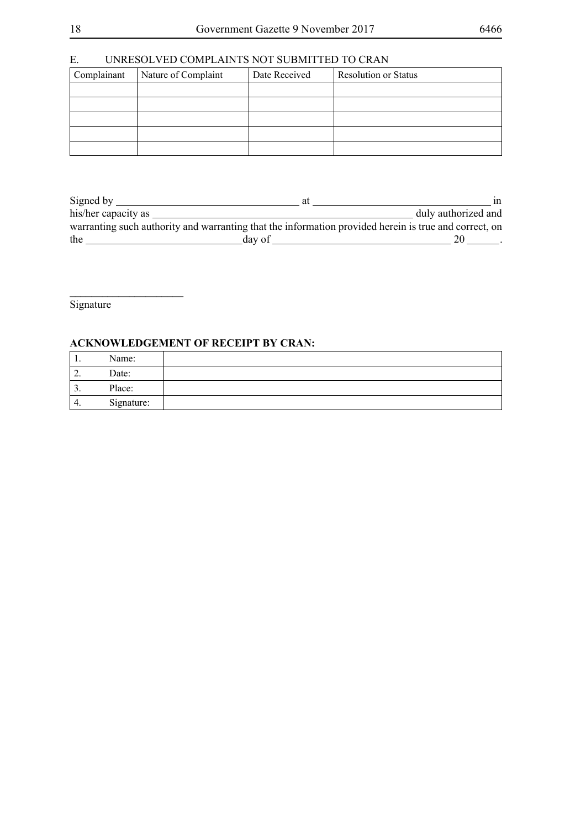# E. UNRESOLVED COMPLAINTS NOT SUBMITTED TO CRAN

| Complainant | Nature of Complaint | Date Received | <b>Resolution or Status</b> |
|-------------|---------------------|---------------|-----------------------------|
|             |                     |               |                             |
|             |                     |               |                             |
|             |                     |               |                             |
|             |                     |               |                             |
|             |                     |               |                             |

| Signed by                                                                                             | at | 1n                  |
|-------------------------------------------------------------------------------------------------------|----|---------------------|
| his/her capacity as                                                                                   |    | duly authorized and |
| warranting such authority and warranting that the information provided herein is true and correct, on |    |                     |
| the<br>day of                                                                                         |    |                     |

**Signature** 

 $\overline{\phantom{a}}$  , where  $\overline{\phantom{a}}$ 

| . .      | Name:      |  |
|----------|------------|--|
| <u>.</u> | Date:      |  |
| J.       | Place:     |  |
| 4.       | Signature: |  |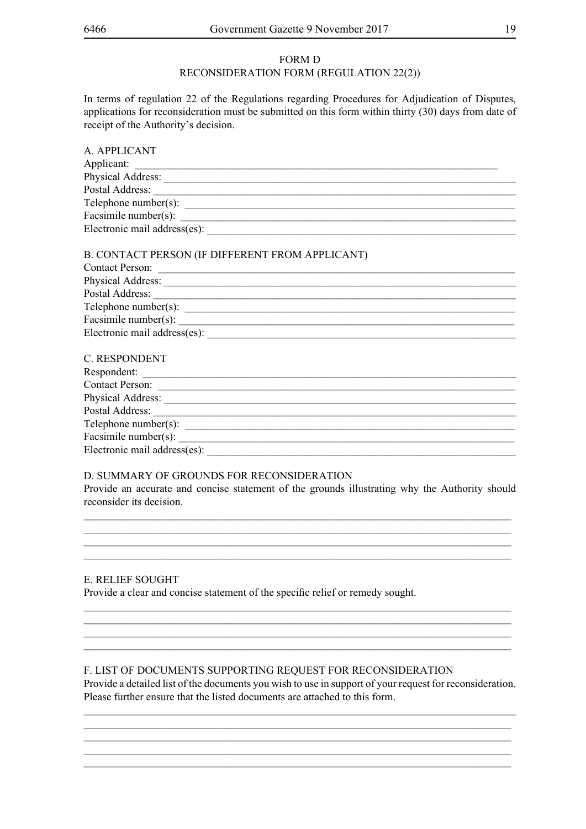#### FORM D

## RECONSIDERATION FORM (REGULATION 22(2))

In terms of regulation 22 of the Regulations regarding Procedures for Adjudication of Disputes, applications for reconsideration must be submitted on this form within thirty (30) days from date of receipt of the Authority's decision.

| A. APPLICANT                 |  |
|------------------------------|--|
| Applicant:                   |  |
| Physical Address:            |  |
| Postal Address:              |  |
| Telephone number(s):         |  |
| Facsimile number(s):         |  |
| Electronic mail address(es): |  |
|                              |  |

#### B. CONTACT PERSON (IF DIFFERENT FROM APPLICANT)

| <b>Contact Person:</b>       |  |
|------------------------------|--|
| Physical Address:            |  |
| Postal Address:              |  |
| Telephone number(s):         |  |
| Facsimile number(s):         |  |
| Electronic mail address(es): |  |
|                              |  |

| C. RESPONDENT                |  |
|------------------------------|--|
| Respondent:                  |  |
| <b>Contact Person:</b>       |  |
| Physical Address:            |  |
| Postal Address:              |  |
| Telephone number(s):         |  |
| Facsimile number(s):         |  |
| Electronic mail address(es): |  |
|                              |  |

#### D. SUMMARY OF GROUNDS FOR RECONSIDERATION

Provide an accurate and concise statement of the grounds illustrating why the Authority should reconsider its decision.

\_\_\_\_\_\_\_\_\_\_\_\_\_\_\_\_\_\_\_\_\_\_\_\_\_\_\_\_\_\_\_\_\_\_\_\_\_\_\_\_\_\_\_\_\_\_\_\_\_\_\_\_\_\_\_\_\_\_\_\_\_\_\_\_\_\_\_\_\_\_\_\_\_\_\_\_\_\_\_ \_\_\_\_\_\_\_\_\_\_\_\_\_\_\_\_\_\_\_\_\_\_\_\_\_\_\_\_\_\_\_\_\_\_\_\_\_\_\_\_\_\_\_\_\_\_\_\_\_\_\_\_\_\_\_\_\_\_\_\_\_\_\_\_\_\_\_\_\_\_\_\_\_\_\_\_\_\_\_  $\_$  $\_$ 

 $\_$  $\_$  $\_$ \_\_\_\_\_\_\_\_\_\_\_\_\_\_\_\_\_\_\_\_\_\_\_\_\_\_\_\_\_\_\_\_\_\_\_\_\_\_\_\_\_\_\_\_\_\_\_\_\_\_\_\_\_\_\_\_\_\_\_\_\_\_\_\_\_\_\_\_\_\_\_\_\_\_\_\_\_\_\_

#### E. RELIEF SOUGHT

Provide a clear and concise statement of the specific relief or remedy sought.

#### F. LIST OF DOCUMENTS SUPPORTING REQUEST FOR RECONSIDERATION

Provide a detailed list of the documents you wish to use in support of your request for reconsideration. Please further ensure that the listed documents are attached to this form. \_\_\_\_\_\_\_\_\_\_\_\_\_\_\_\_\_\_\_\_\_\_\_\_\_\_\_\_\_\_\_\_\_\_\_\_\_\_\_\_\_\_\_\_\_\_\_\_\_\_\_\_\_\_\_\_\_\_\_\_\_\_\_\_\_\_\_\_\_\_\_\_\_\_\_\_\_\_\_

 $\_$  $\_$  $\_$ \_\_\_\_\_\_\_\_\_\_\_\_\_\_\_\_\_\_\_\_\_\_\_\_\_\_\_\_\_\_\_\_\_\_\_\_\_\_\_\_\_\_\_\_\_\_\_\_\_\_\_\_\_\_\_\_\_\_\_\_\_\_\_\_\_\_\_\_\_\_\_\_\_\_\_\_\_\_\_